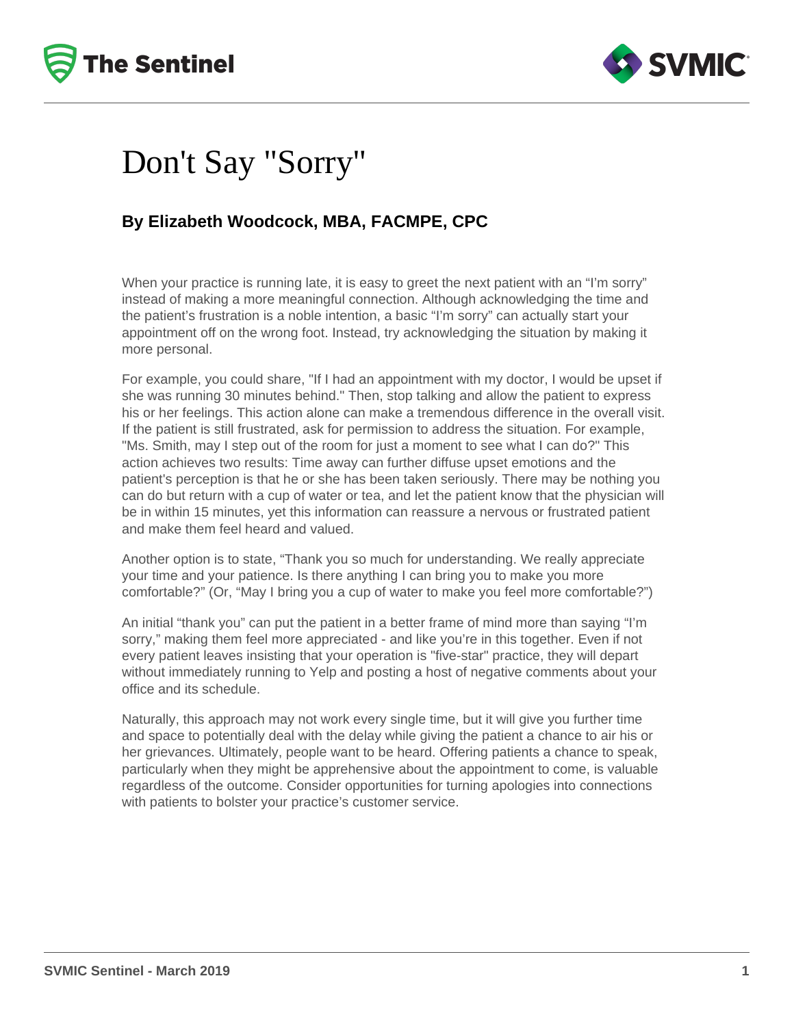



### Don't Say "Sorry"

#### **By Elizabeth Woodcock, MBA, FACMPE, CPC**

When your practice is running late, it is easy to greet the next patient with an "I'm sorry" instead of making a more meaningful connection. Although acknowledging the time and the patient's frustration is a noble intention, a basic "I'm sorry" can actually start your appointment off on the wrong foot. Instead, try acknowledging the situation by making it more personal.

For example, you could share, "If I had an appointment with my doctor, I would be upset if she was running 30 minutes behind." Then, stop talking and allow the patient to express his or her feelings. This action alone can make a tremendous difference in the overall visit. If the patient is still frustrated, ask for permission to address the situation. For example, "Ms. Smith, may I step out of the room for just a moment to see what I can do?" This action achieves two results: Time away can further diffuse upset emotions and the patient's perception is that he or she has been taken seriously. There may be nothing you can do but return with a cup of water or tea, and let the patient know that the physician will be in within 15 minutes, yet this information can reassure a nervous or frustrated patient and make them feel heard and valued.

Another option is to state, "Thank you so much for understanding. We really appreciate your time and your patience. Is there anything I can bring you to make you more comfortable?" (Or, "May I bring you a cup of water to make you feel more comfortable?")

An initial "thank you" can put the patient in a better frame of mind more than saying "I'm sorry," making them feel more appreciated - and like you're in this together. Even if not every patient leaves insisting that your operation is "five-star" practice, they will depart without immediately running to Yelp and posting a host of negative comments about your office and its schedule.

Naturally, this approach may not work every single time, but it will give you further time and space to potentially deal with the delay while giving the patient a chance to air his or her grievances. Ultimately, people want to be heard. Offering patients a chance to speak, particularly when they might be apprehensive about the appointment to come, is valuable regardless of the outcome. Consider opportunities for turning apologies into connections with patients to bolster your practice's customer service.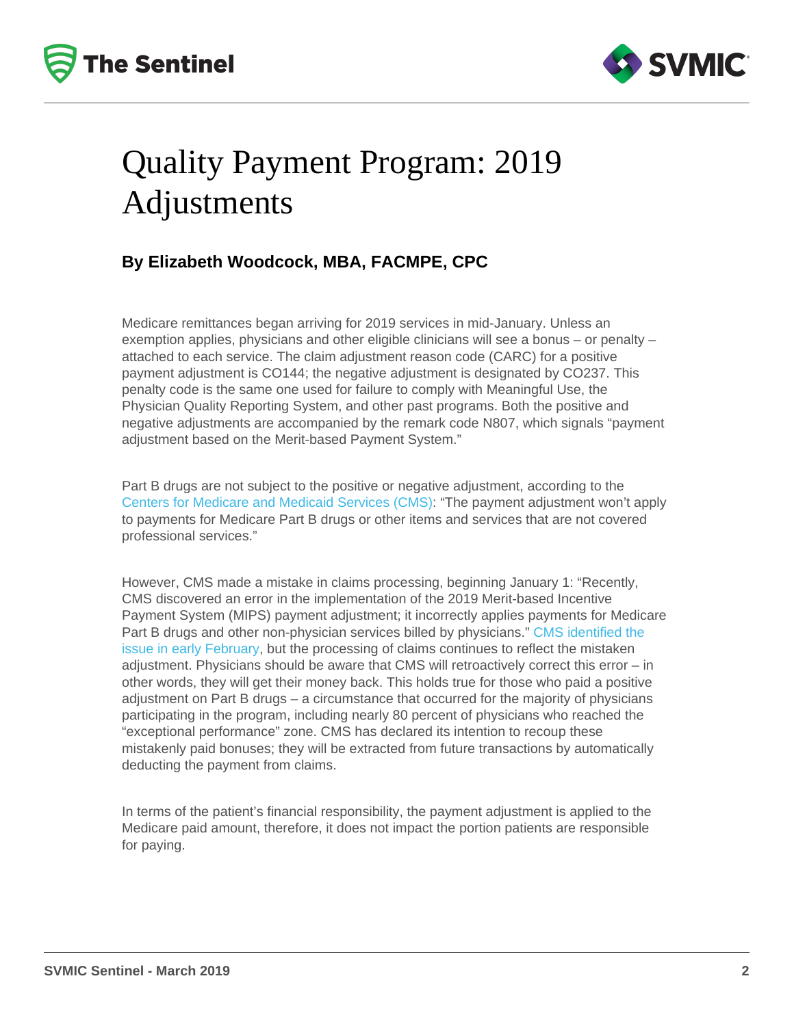# Quality Payment Program: 2019 Adjustments

#### By Elizabeth Woodcock, MBA, FACMPE, CPC

Medicare remittances began arriving for 2019 services in mid-January. Unless an exemption applies, physicians and other eligible clinicians will see a bonus – or penalty – attached to each service. The claim adjustment reason code (CARC) for a positive payment adjustment is CO144; the negative adjustment is designated by CO237. This penalty code is the same one used for failure to comply with Meaningful Use, the Physician Quality Reporting System, and other past programs. Both the positive and negative adjustments are accompanied by the remark code N807, which signals "payment adjustment based on the Merit-based Payment System."

Part B drugs are not subject to the positive or negative adjustment, according to the [Centers for Medicare and Medicaid Services \(CMS\):](https://qpp.cms.gov/about/resource-library) "The payment adjustment won't apply to payments for Medicare Part B drugs or other items and services that are not covered professional services."

However, CMS made a mistake in claims processing, beginning January 1: "Recently, CMS discovered an error in the implementation of the 2019 Merit-based Incentive Payment System (MIPS) payment adjustment; it incorrectly applies payments for Medicare Part B drugs and other non-physician services billed by physicians." [CMS identified the](https://www.cms.gov/Outreach-and-Education/Outreach/FFSProvPartProg/Provider-Partnership-Email-Archive-Items/2019-02-07-eNews.html#_Toc337597)  [issue in early February](https://www.cms.gov/Outreach-and-Education/Outreach/FFSProvPartProg/Provider-Partnership-Email-Archive-Items/2019-02-07-eNews.html#_Toc337597), but the processing of claims continues to reflect the mistaken adjustment. Physicians should be aware that CMS will retroactively correct this error – in other words, they will get their money back. This holds true for those who paid a positive adjustment on Part B drugs – a circumstance that occurred for the majority of physicians participating in the program, including nearly 80 percent of physicians who reached the "exceptional performance" zone. CMS has declared its intention to recoup these mistakenly paid bonuses; they will be extracted from future transactions by automatically deducting the payment from claims.

In terms of the patient's financial responsibility, the payment adjustment is applied to the Medicare paid amount, therefore, it does not impact the portion patients are responsible for paying.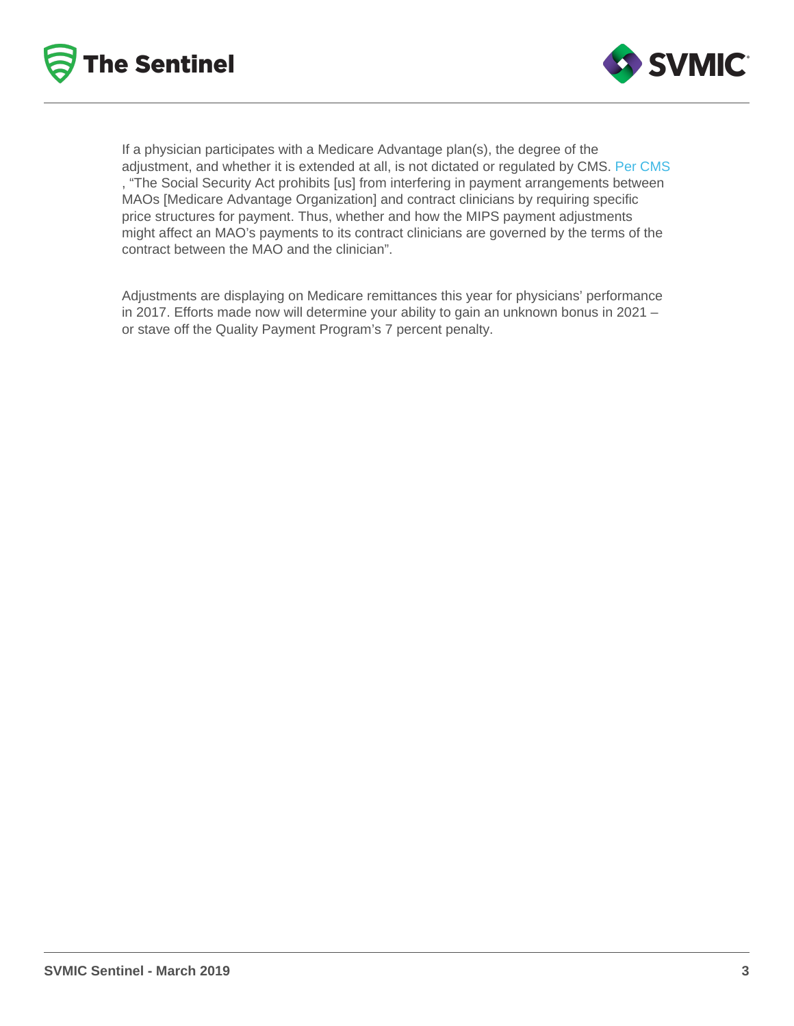If a physician participates with a Medicare Advantage plan(s), the degree of the adjustment, and whether it is extended at all, is not dictated or regulated by CMS. [Per CMS](https://qpp.cms.gov/about/resource-library) , "The Social Security Act prohibits [us] from interfering in payment arrangements between MAOs [Medicare Advantage Organization] and contract clinicians by requiring specific price structures for payment. Thus, whether and how the MIPS payment adjustments might affect an MAO's payments to its contract clinicians are governed by the terms of the contract between the MAO and the clinician".

Adjustments are displaying on Medicare remittances this year for physicians' performance in 2017. Efforts made now will determine your ability to gain an unknown bonus in 2021 – or stave off the Quality Payment Program's 7 percent penalty.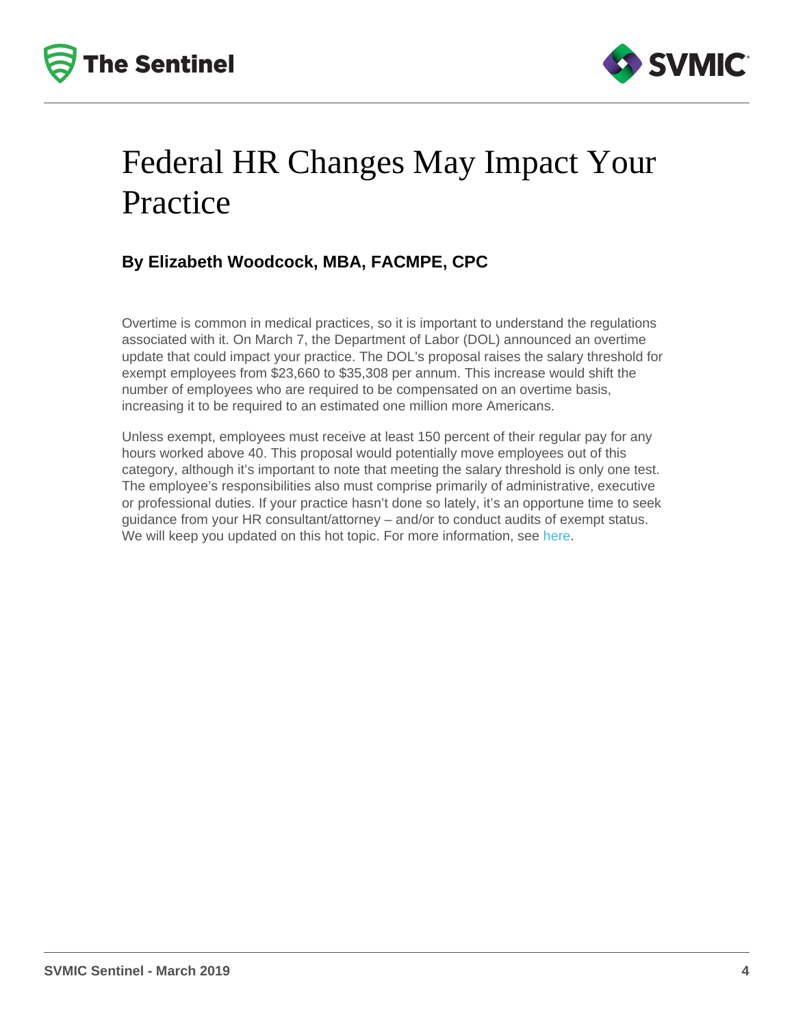# Federal HR Changes May Impact Your **Practice**

### By Elizabeth Woodcock, MBA, FACMPE, CPC

Overtime is common in medical practices, so it is important to understand the regulations associated with it. On March 7, the Department of Labor (DOL) announced an overtime update that could impact your practice. The DOL's proposal raises the salary threshold for exempt employees from \$23,660 to \$35,308 per annum. This increase would shift the number of employees who are required to be compensated on an overtime basis, increasing it to be required to an estimated one million more Americans.

Unless exempt, employees must receive at least 150 percent of their regular pay for any hours worked above 40. This proposal would potentially move employees out of this category, although it's important to note that meeting the salary threshold is only one test. The employee's responsibilities also must comprise primarily of administrative, executive or professional duties. If your practice hasn't done so lately, it's an opportune time to seek guidance from your HR consultant/attorney – and/or to conduct audits of exempt status. We will keep you updated on this hot topic. For more information, see [here](https://www.dol.gov/whd/overtime2019/).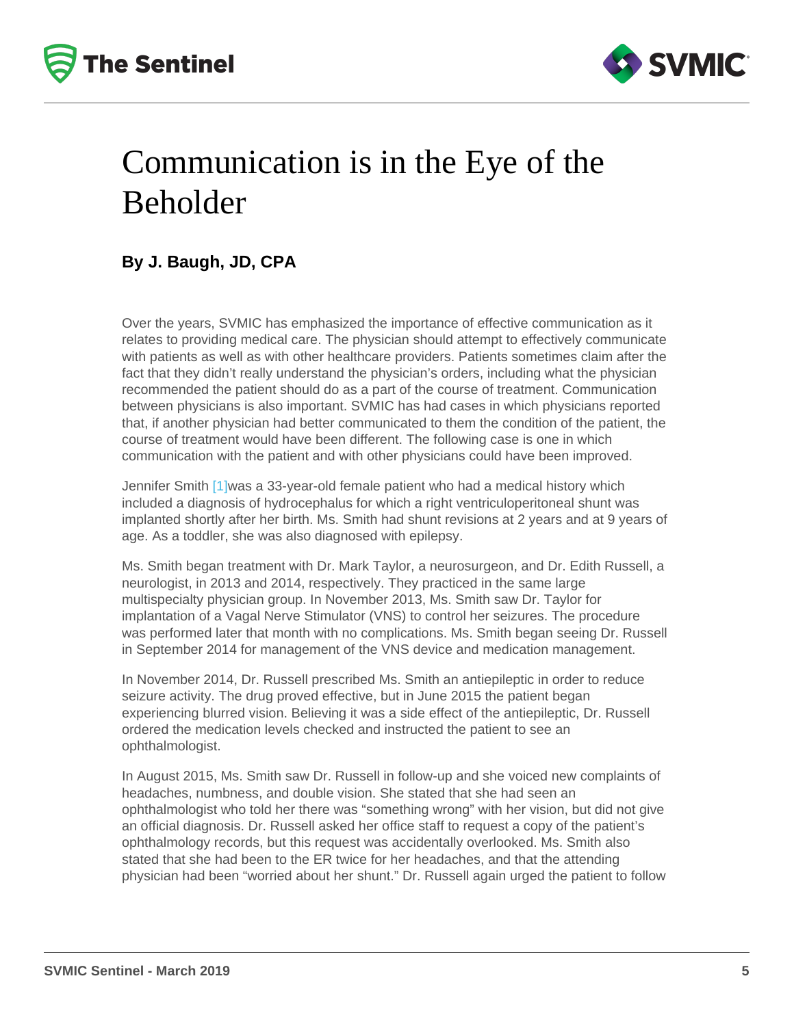# <span id="page-4-0"></span>Communication is in the Eye of the Beholder

### By J. Baugh, JD, CPA

Over the years, SVMIC has emphasized the importance of effective communication as it relates to providing medical care. The physician should attempt to effectively communicate with patients as well as with other healthcare providers. Patients sometimes claim after the fact that they didn't really understand the physician's orders, including what the physician recommended the patient should do as a part of the course of treatment. Communication between physicians is also important. SVMIC has had cases in which physicians reported that, if another physician had better communicated to them the condition of the patient, the course of treatment would have been different. The following case is one in which communication with the patient and with other physicians could have been improved.

Jennifer Smith [\[1\]w](#page-7-0)as a 33-year-old female patient who had a medical history which included a diagnosis of hydrocephalus for which a right ventriculoperitoneal shunt was implanted shortly after her birth. Ms. Smith had shunt revisions at 2 years and at 9 years of age. As a toddler, she was also diagnosed with epilepsy.

Ms. Smith began treatment with Dr. Mark Taylor, a neurosurgeon, and Dr. Edith Russell, a neurologist, in 2013 and 2014, respectively. They practiced in the same large multispecialty physician group. In November 2013, Ms. Smith saw Dr. Taylor for implantation of a Vagal Nerve Stimulator (VNS) to control her seizures. The procedure was performed later that month with no complications. Ms. Smith began seeing Dr. Russell in September 2014 for management of the VNS device and medication management.

In November 2014, Dr. Russell prescribed Ms. Smith an antiepileptic in order to reduce seizure activity. The drug proved effective, but in June 2015 the patient began experiencing blurred vision. Believing it was a side effect of the antiepileptic, Dr. Russell ordered the medication levels checked and instructed the patient to see an ophthalmologist.

In August 2015, Ms. Smith saw Dr. Russell in follow-up and she voiced new complaints of headaches, numbness, and double vision. She stated that she had seen an ophthalmologist who told her there was "something wrong" with her vision, but did not give an official diagnosis. Dr. Russell asked her office staff to request a copy of the patient's ophthalmology records, but this request was accidentally overlooked. Ms. Smith also stated that she had been to the ER twice for her headaches, and that the attending physician had been "worried about her shunt." Dr. Russell again urged the patient to follow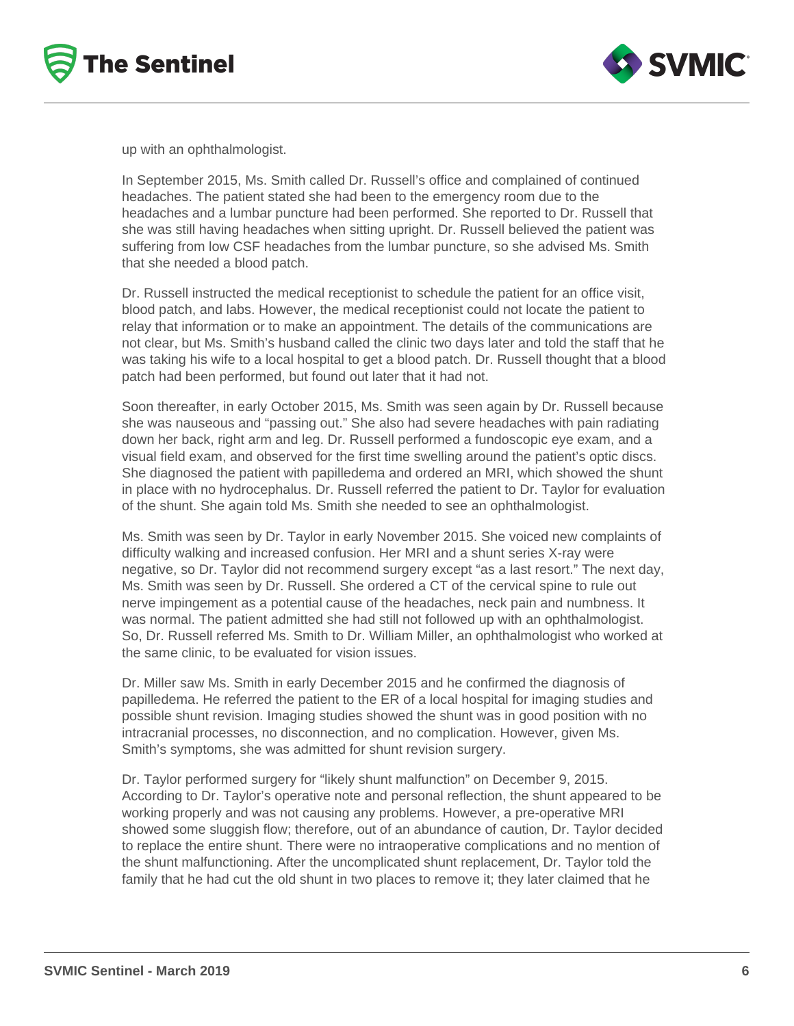



up with an ophthalmologist.

In September 2015, Ms. Smith called Dr. Russell's office and complained of continued headaches. The patient stated she had been to the emergency room due to the headaches and a lumbar puncture had been performed. She reported to Dr. Russell that she was still having headaches when sitting upright. Dr. Russell believed the patient was suffering from low CSF headaches from the lumbar puncture, so she advised Ms. Smith that she needed a blood patch.

Dr. Russell instructed the medical receptionist to schedule the patient for an office visit, blood patch, and labs. However, the medical receptionist could not locate the patient to relay that information or to make an appointment. The details of the communications are not clear, but Ms. Smith's husband called the clinic two days later and told the staff that he was taking his wife to a local hospital to get a blood patch. Dr. Russell thought that a blood patch had been performed, but found out later that it had not.

Soon thereafter, in early October 2015, Ms. Smith was seen again by Dr. Russell because she was nauseous and "passing out." She also had severe headaches with pain radiating down her back, right arm and leg. Dr. Russell performed a fundoscopic eye exam, and a visual field exam, and observed for the first time swelling around the patient's optic discs. She diagnosed the patient with papilledema and ordered an MRI, which showed the shunt in place with no hydrocephalus. Dr. Russell referred the patient to Dr. Taylor for evaluation of the shunt. She again told Ms. Smith she needed to see an ophthalmologist.

Ms. Smith was seen by Dr. Taylor in early November 2015. She voiced new complaints of difficulty walking and increased confusion. Her MRI and a shunt series X-ray were negative, so Dr. Taylor did not recommend surgery except "as a last resort." The next day, Ms. Smith was seen by Dr. Russell. She ordered a CT of the cervical spine to rule out nerve impingement as a potential cause of the headaches, neck pain and numbness. It was normal. The patient admitted she had still not followed up with an ophthalmologist. So, Dr. Russell referred Ms. Smith to Dr. William Miller, an ophthalmologist who worked at the same clinic, to be evaluated for vision issues.

Dr. Miller saw Ms. Smith in early December 2015 and he confirmed the diagnosis of papilledema. He referred the patient to the ER of a local hospital for imaging studies and possible shunt revision. Imaging studies showed the shunt was in good position with no intracranial processes, no disconnection, and no complication. However, given Ms. Smith's symptoms, she was admitted for shunt revision surgery.

Dr. Taylor performed surgery for "likely shunt malfunction" on December 9, 2015. According to Dr. Taylor's operative note and personal reflection, the shunt appeared to be working properly and was not causing any problems. However, a pre-operative MRI showed some sluggish flow; therefore, out of an abundance of caution, Dr. Taylor decided to replace the entire shunt. There were no intraoperative complications and no mention of the shunt malfunctioning. After the uncomplicated shunt replacement, Dr. Taylor told the family that he had cut the old shunt in two places to remove it; they later claimed that he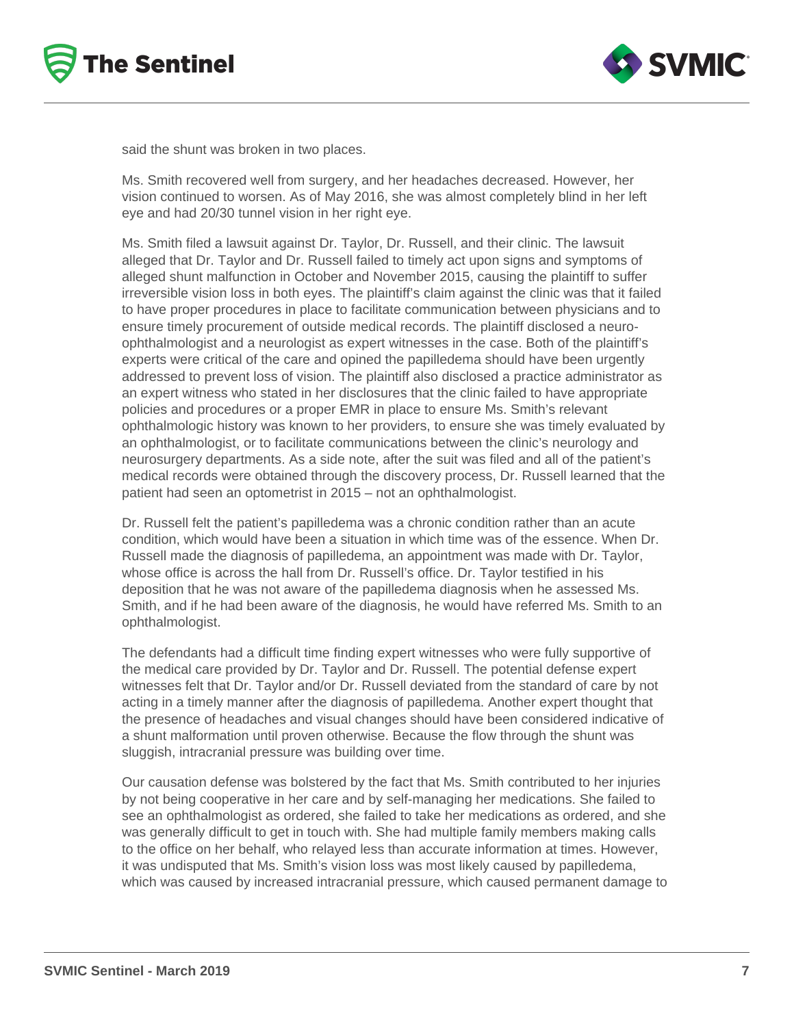



said the shunt was broken in two places.

Ms. Smith recovered well from surgery, and her headaches decreased. However, her vision continued to worsen. As of May 2016, she was almost completely blind in her left eye and had 20/30 tunnel vision in her right eye.

Ms. Smith filed a lawsuit against Dr. Taylor, Dr. Russell, and their clinic. The lawsuit alleged that Dr. Taylor and Dr. Russell failed to timely act upon signs and symptoms of alleged shunt malfunction in October and November 2015, causing the plaintiff to suffer irreversible vision loss in both eyes. The plaintiff's claim against the clinic was that it failed to have proper procedures in place to facilitate communication between physicians and to ensure timely procurement of outside medical records. The plaintiff disclosed a neuroophthalmologist and a neurologist as expert witnesses in the case. Both of the plaintiff's experts were critical of the care and opined the papilledema should have been urgently addressed to prevent loss of vision. The plaintiff also disclosed a practice administrator as an expert witness who stated in her disclosures that the clinic failed to have appropriate policies and procedures or a proper EMR in place to ensure Ms. Smith's relevant ophthalmologic history was known to her providers, to ensure she was timely evaluated by an ophthalmologist, or to facilitate communications between the clinic's neurology and neurosurgery departments. As a side note, after the suit was filed and all of the patient's medical records were obtained through the discovery process, Dr. Russell learned that the patient had seen an optometrist in 2015 – not an ophthalmologist.

Dr. Russell felt the patient's papilledema was a chronic condition rather than an acute condition, which would have been a situation in which time was of the essence. When Dr. Russell made the diagnosis of papilledema, an appointment was made with Dr. Taylor, whose office is across the hall from Dr. Russell's office. Dr. Taylor testified in his deposition that he was not aware of the papilledema diagnosis when he assessed Ms. Smith, and if he had been aware of the diagnosis, he would have referred Ms. Smith to an ophthalmologist.

The defendants had a difficult time finding expert witnesses who were fully supportive of the medical care provided by Dr. Taylor and Dr. Russell. The potential defense expert witnesses felt that Dr. Taylor and/or Dr. Russell deviated from the standard of care by not acting in a timely manner after the diagnosis of papilledema. Another expert thought that the presence of headaches and visual changes should have been considered indicative of a shunt malformation until proven otherwise. Because the flow through the shunt was sluggish, intracranial pressure was building over time.

Our causation defense was bolstered by the fact that Ms. Smith contributed to her injuries by not being cooperative in her care and by self-managing her medications. She failed to see an ophthalmologist as ordered, she failed to take her medications as ordered, and she was generally difficult to get in touch with. She had multiple family members making calls to the office on her behalf, who relayed less than accurate information at times. However, it was undisputed that Ms. Smith's vision loss was most likely caused by papilledema, which was caused by increased intracranial pressure, which caused permanent damage to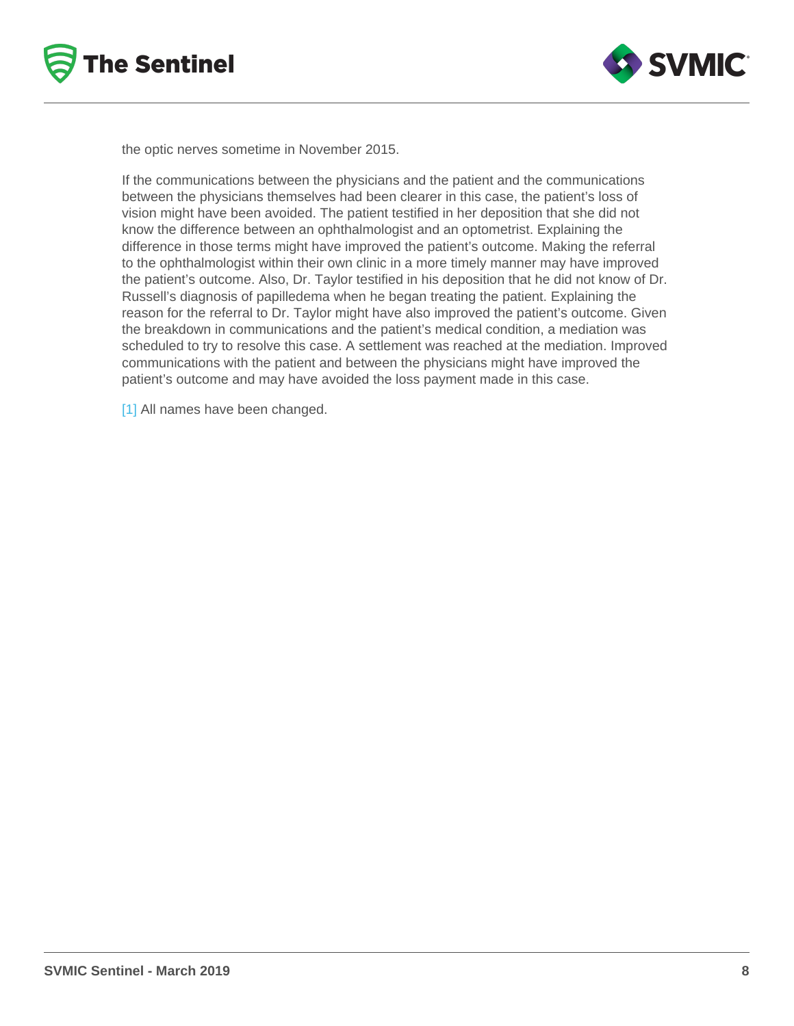<span id="page-7-0"></span>the optic nerves sometime in November 2015.

If the communications between the physicians and the patient and the communications between the physicians themselves had been clearer in this case, the patient's loss of vision might have been avoided. The patient testified in her deposition that she did not know the difference between an ophthalmologist and an optometrist. Explaining the difference in those terms might have improved the patient's outcome. Making the referral to the ophthalmologist within their own clinic in a more timely manner may have improved the patient's outcome. Also, Dr. Taylor testified in his deposition that he did not know of Dr. Russell's diagnosis of papilledema when he began treating the patient. Explaining the reason for the referral to Dr. Taylor might have also improved the patient's outcome. Given the breakdown in communications and the patient's medical condition, a mediation was scheduled to try to resolve this case. A settlement was reached at the mediation. Improved communications with the patient and between the physicians might have improved the patient's outcome and may have avoided the loss payment made in this case.

[\[1\]](#page-4-0) All names have been changed.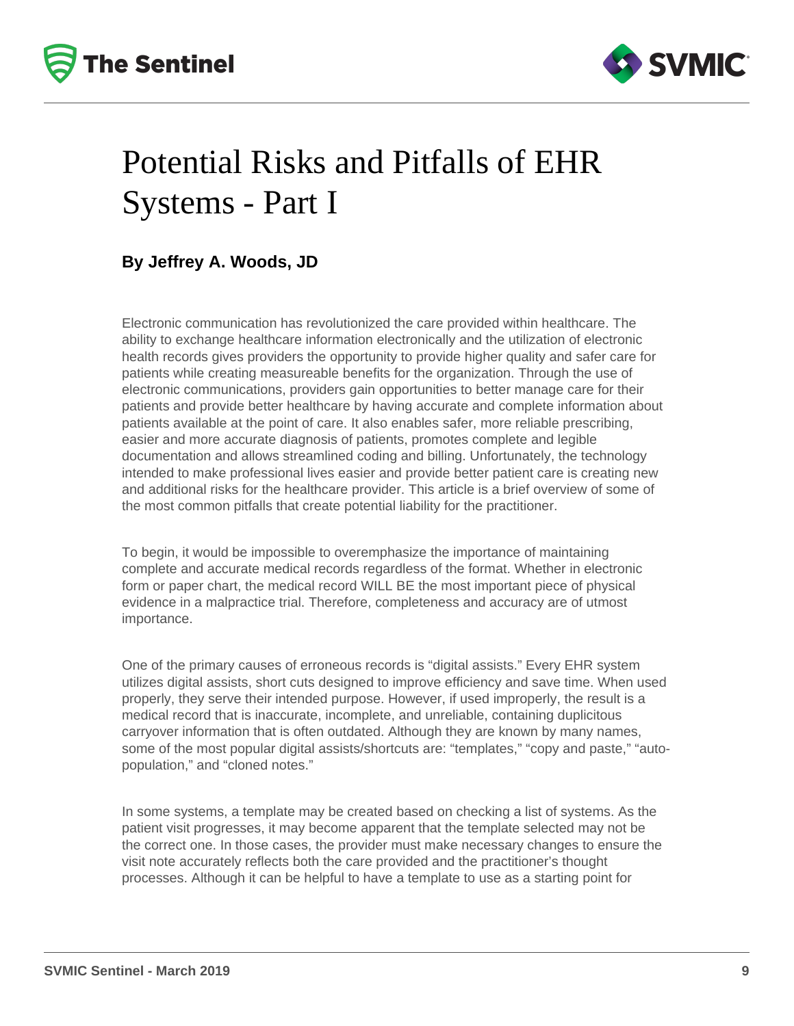



### Potential Risks and Pitfalls of EHR Systems - Part I

#### **By Jeffrey A. Woods, JD**

Electronic communication has revolutionized the care provided within healthcare. The ability to exchange healthcare information electronically and the utilization of electronic health records gives providers the opportunity to provide higher quality and safer care for patients while creating measureable benefits for the organization. Through the use of electronic communications, providers gain opportunities to better manage care for their patients and provide better healthcare by having accurate and complete information about patients available at the point of care. It also enables safer, more reliable prescribing, easier and more accurate diagnosis of patients, promotes complete and legible documentation and allows streamlined coding and billing. Unfortunately, the technology intended to make professional lives easier and provide better patient care is creating new and additional risks for the healthcare provider. This article is a brief overview of some of the most common pitfalls that create potential liability for the practitioner.

To begin, it would be impossible to overemphasize the importance of maintaining complete and accurate medical records regardless of the format. Whether in electronic form or paper chart, the medical record WILL BE the most important piece of physical evidence in a malpractice trial. Therefore, completeness and accuracy are of utmost importance.

One of the primary causes of erroneous records is "digital assists." Every EHR system utilizes digital assists, short cuts designed to improve efficiency and save time. When used properly, they serve their intended purpose. However, if used improperly, the result is a medical record that is inaccurate, incomplete, and unreliable, containing duplicitous carryover information that is often outdated. Although they are known by many names, some of the most popular digital assists/shortcuts are: "templates," "copy and paste," "autopopulation," and "cloned notes."

In some systems, a template may be created based on checking a list of systems. As the patient visit progresses, it may become apparent that the template selected may not be the correct one. In those cases, the provider must make necessary changes to ensure the visit note accurately reflects both the care provided and the practitioner's thought processes. Although it can be helpful to have a template to use as a starting point for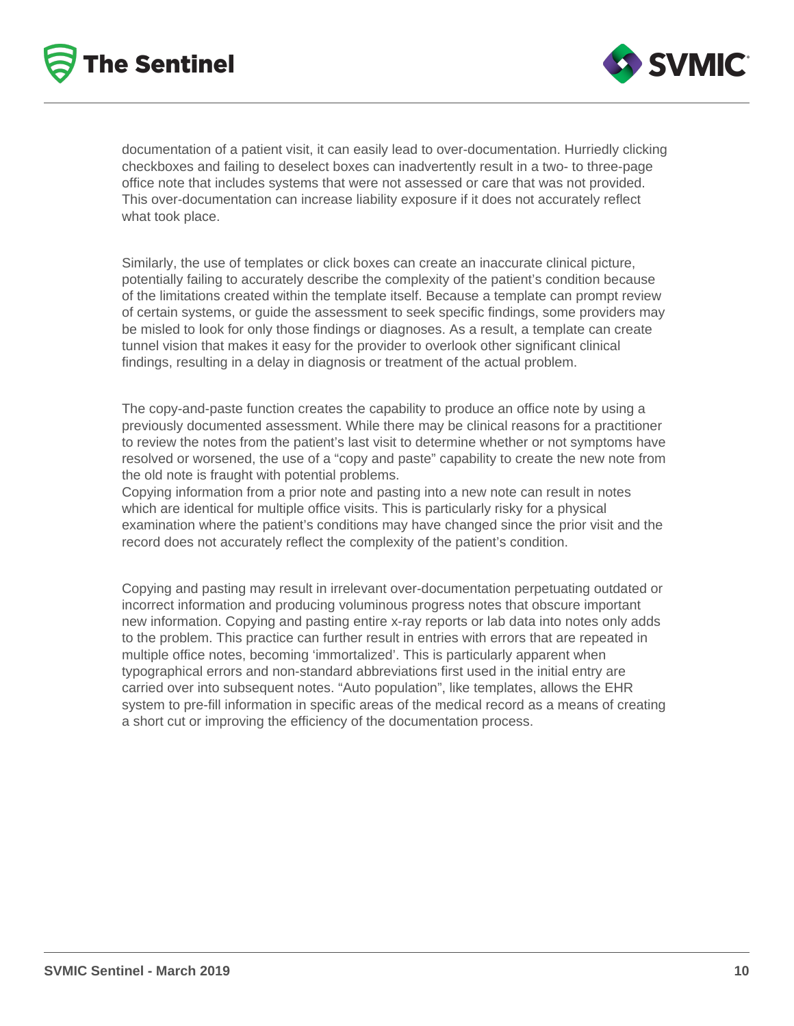



documentation of a patient visit, it can easily lead to over-documentation. Hurriedly clicking checkboxes and failing to deselect boxes can inadvertently result in a two- to three-page office note that includes systems that were not assessed or care that was not provided. This over-documentation can increase liability exposure if it does not accurately reflect what took place.

Similarly, the use of templates or click boxes can create an inaccurate clinical picture, potentially failing to accurately describe the complexity of the patient's condition because of the limitations created within the template itself. Because a template can prompt review of certain systems, or guide the assessment to seek specific findings, some providers may be misled to look for only those findings or diagnoses. As a result, a template can create tunnel vision that makes it easy for the provider to overlook other significant clinical findings, resulting in a delay in diagnosis or treatment of the actual problem.

The copy-and-paste function creates the capability to produce an office note by using a previously documented assessment. While there may be clinical reasons for a practitioner to review the notes from the patient's last visit to determine whether or not symptoms have resolved or worsened, the use of a "copy and paste" capability to create the new note from the old note is fraught with potential problems.

Copying information from a prior note and pasting into a new note can result in notes which are identical for multiple office visits. This is particularly risky for a physical examination where the patient's conditions may have changed since the prior visit and the record does not accurately reflect the complexity of the patient's condition.

Copying and pasting may result in irrelevant over-documentation perpetuating outdated or incorrect information and producing voluminous progress notes that obscure important new information. Copying and pasting entire x-ray reports or lab data into notes only adds to the problem. This practice can further result in entries with errors that are repeated in multiple office notes, becoming 'immortalized'. This is particularly apparent when typographical errors and non-standard abbreviations first used in the initial entry are carried over into subsequent notes. "Auto population", like templates, allows the EHR system to pre-fill information in specific areas of the medical record as a means of creating a short cut or improving the efficiency of the documentation process.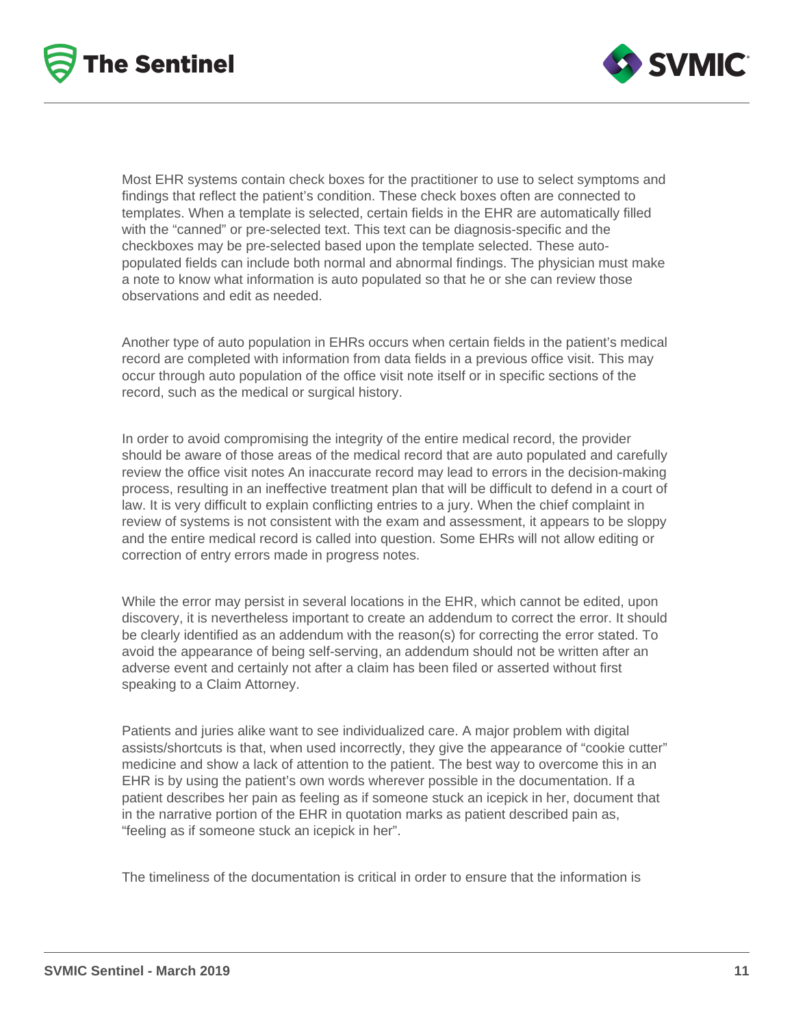



Most EHR systems contain check boxes for the practitioner to use to select symptoms and findings that reflect the patient's condition. These check boxes often are connected to templates. When a template is selected, certain fields in the EHR are automatically filled with the "canned" or pre-selected text. This text can be diagnosis-specific and the checkboxes may be pre-selected based upon the template selected. These autopopulated fields can include both normal and abnormal findings. The physician must make a note to know what information is auto populated so that he or she can review those observations and edit as needed.

Another type of auto population in EHRs occurs when certain fields in the patient's medical record are completed with information from data fields in a previous office visit. This may occur through auto population of the office visit note itself or in specific sections of the record, such as the medical or surgical history.

In order to avoid compromising the integrity of the entire medical record, the provider should be aware of those areas of the medical record that are auto populated and carefully review the office visit notes An inaccurate record may lead to errors in the decision-making process, resulting in an ineffective treatment plan that will be difficult to defend in a court of law. It is very difficult to explain conflicting entries to a jury. When the chief complaint in review of systems is not consistent with the exam and assessment, it appears to be sloppy and the entire medical record is called into question. Some EHRs will not allow editing or correction of entry errors made in progress notes.

While the error may persist in several locations in the EHR, which cannot be edited, upon discovery, it is nevertheless important to create an addendum to correct the error. It should be clearly identified as an addendum with the reason(s) for correcting the error stated. To avoid the appearance of being self-serving, an addendum should not be written after an adverse event and certainly not after a claim has been filed or asserted without first speaking to a Claim Attorney.

Patients and juries alike want to see individualized care. A major problem with digital assists/shortcuts is that, when used incorrectly, they give the appearance of "cookie cutter" medicine and show a lack of attention to the patient. The best way to overcome this in an EHR is by using the patient's own words wherever possible in the documentation. If a patient describes her pain as feeling as if someone stuck an icepick in her, document that in the narrative portion of the EHR in quotation marks as patient described pain as, "feeling as if someone stuck an icepick in her".

The timeliness of the documentation is critical in order to ensure that the information is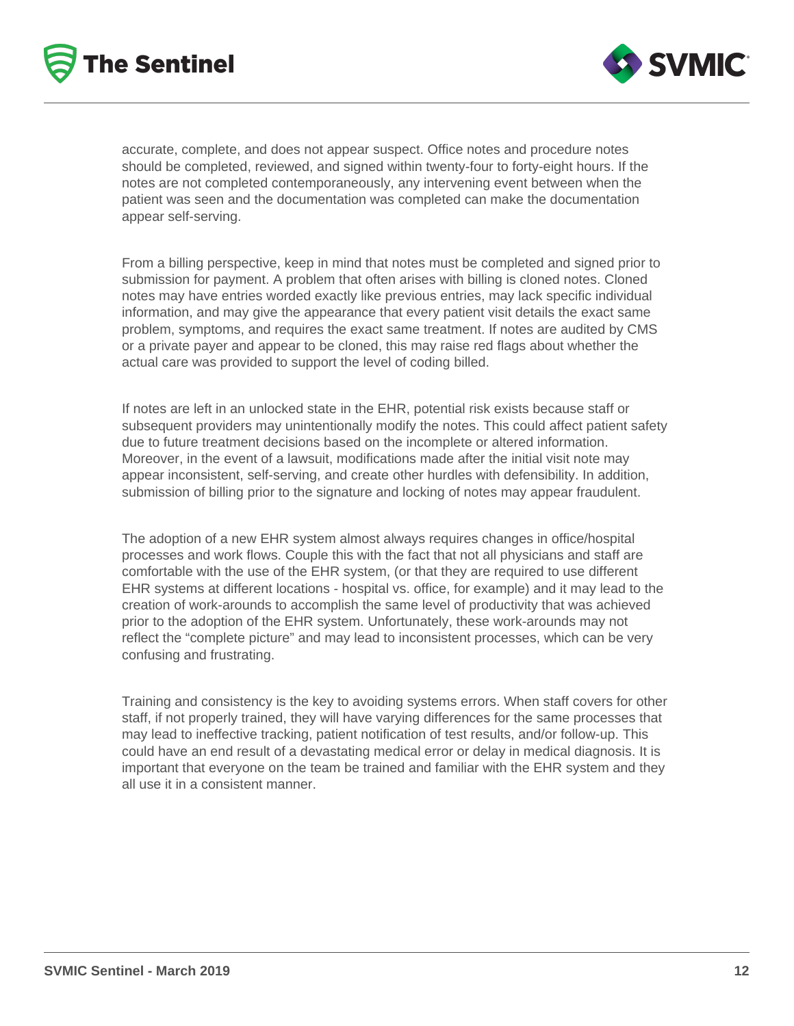



accurate, complete, and does not appear suspect. Office notes and procedure notes should be completed, reviewed, and signed within twenty-four to forty-eight hours. If the notes are not completed contemporaneously, any intervening event between when the patient was seen and the documentation was completed can make the documentation appear self-serving.

From a billing perspective, keep in mind that notes must be completed and signed prior to submission for payment. A problem that often arises with billing is cloned notes. Cloned notes may have entries worded exactly like previous entries, may lack specific individual information, and may give the appearance that every patient visit details the exact same problem, symptoms, and requires the exact same treatment. If notes are audited by CMS or a private payer and appear to be cloned, this may raise red flags about whether the actual care was provided to support the level of coding billed.

If notes are left in an unlocked state in the EHR, potential risk exists because staff or subsequent providers may unintentionally modify the notes. This could affect patient safety due to future treatment decisions based on the incomplete or altered information. Moreover, in the event of a lawsuit, modifications made after the initial visit note may appear inconsistent, self-serving, and create other hurdles with defensibility. In addition, submission of billing prior to the signature and locking of notes may appear fraudulent.

The adoption of a new EHR system almost always requires changes in office/hospital processes and work flows. Couple this with the fact that not all physicians and staff are comfortable with the use of the EHR system, (or that they are required to use different EHR systems at different locations - hospital vs. office, for example) and it may lead to the creation of work-arounds to accomplish the same level of productivity that was achieved prior to the adoption of the EHR system. Unfortunately, these work-arounds may not reflect the "complete picture" and may lead to inconsistent processes, which can be very confusing and frustrating.

Training and consistency is the key to avoiding systems errors. When staff covers for other staff, if not properly trained, they will have varying differences for the same processes that may lead to ineffective tracking, patient notification of test results, and/or follow-up. This could have an end result of a devastating medical error or delay in medical diagnosis. It is important that everyone on the team be trained and familiar with the EHR system and they all use it in a consistent manner.